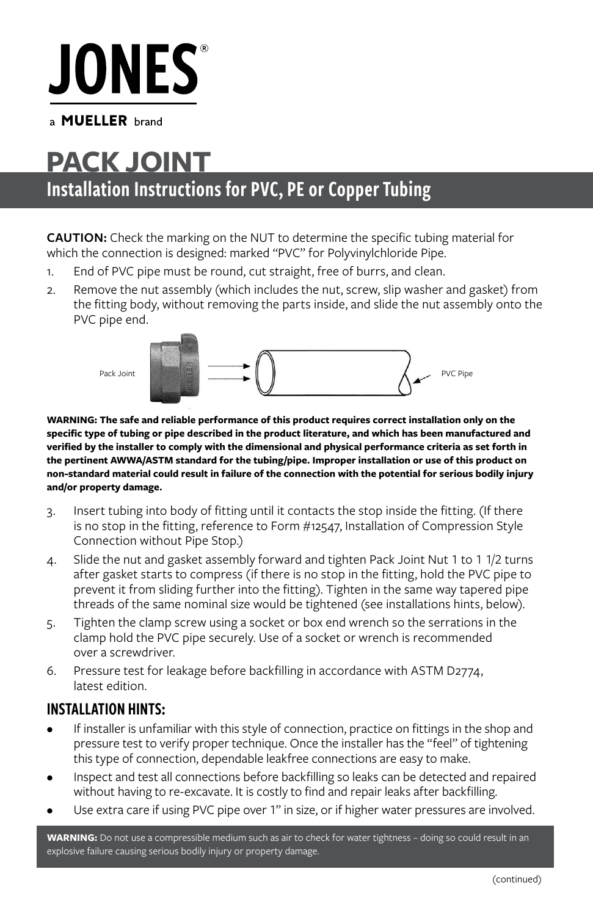# **JONES**

a **MUELLER** brand

## Installation Instructions for PVC, PE or Copper Tubing **PACK JOINT**

**CAUTION:** Check the marking on the NUT to determine the specific tubing material for which the connection is designed: marked "PVC" for Polyvinylchloride Pipe.

- 1. End of PVC pipe must be round, cut straight, free of burrs, and clean.
- 2. Remove the nut assembly (which includes the nut, screw, slip washer and gasket) from the fitting body, without removing the parts inside, and slide the nut assembly onto the PVC pipe end.



**WARNING: The safe and reliable performance of this product requires correct installation only on the specific type of tubing or pipe described in the product literature, and which has been manufactured and verified by the installer to comply with the dimensional and physical performance criteria as set forth in the pertinent AWWA/ASTM standard for the tubing/pipe. Improper installation or use of this product on non-standard material could result in failure of the connection with the potential for serious bodily injury and/or property damage.**

- 3. Insert tubing into body of fitting until it contacts the stop inside the fitting. (If there is no stop in the fitting, reference to Form #12547, Installation of Compression Style Connection without Pipe Stop.)
- 4. Slide the nut and gasket assembly forward and tighten Pack Joint Nut 1 to 1 1/2 turns after gasket starts to compress (if there is no stop in the fitting, hold the PVC pipe to prevent it from sliding further into the fitting). Tighten in the same way tapered pipe threads of the same nominal size would be tightened (see installations hints, below).
- 5. Tighten the clamp screw using a socket or box end wrench so the serrations in the clamp hold the PVC pipe securely. Use of a socket or wrench is recommended over a screwdriver.
- 6. Pressure test for leakage before backfilling in accordance with ASTM D2774, latest edition.

### INSTALLATION HINTS:

- If installer is unfamiliar with this style of connection, practice on fittings in the shop and pressure test to verify proper technique. Once the installer has the "feel" of tightening this type of connection, dependable leakfree connections are easy to make.
- Inspect and test all connections before backfilling so leaks can be detected and repaired without having to re-excavate. It is costly to find and repair leaks after backfilling.
- Use extra care if using PVC pipe over 1" in size, or if higher water pressures are involved.

**WARNING:** Do not use a compressible medium such as air to check for water tightness – doing so could result in an explosive failure causing serious bodily injury or property damage.